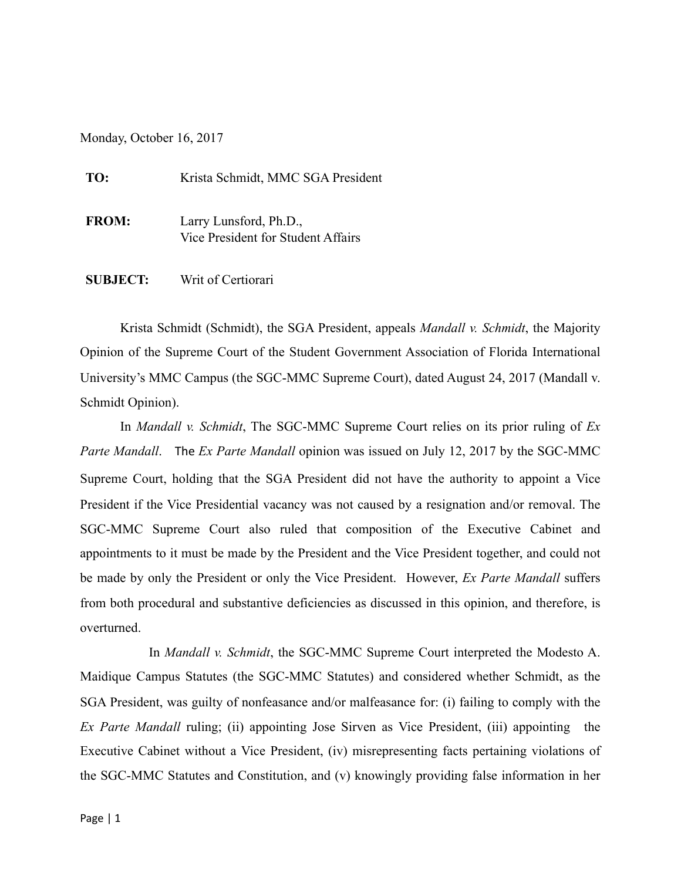Monday, October 16, 2017

| TO:          | Krista Schmidt, MMC SGA President                            |
|--------------|--------------------------------------------------------------|
| <b>FROM:</b> | Larry Lunsford, Ph.D.,<br>Vice President for Student Affairs |

**SUBJECT:** Writ of Certiorari

Krista Schmidt (Schmidt), the SGA President, appeals *Mandall v. Schmidt*, the Majority Opinion of the Supreme Court of the Student Government Association of Florida International University's MMC Campus (the SGC-MMC Supreme Court), dated August 24, 2017 (Mandall v. Schmidt Opinion).

In *Mandall v. Schmidt*, The SGC-MMC Supreme Court relies on its prior ruling of *Ex Parte Mandall*. The *Ex Parte Mandall* opinion was issued on July 12, 2017 by the SGC-MMC Supreme Court, holding that the SGA President did not have the authority to appoint a Vice President if the Vice Presidential vacancy was not caused by a resignation and/or removal. The SGC-MMC Supreme Court also ruled that composition of the Executive Cabinet and appointments to it must be made by the President and the Vice President together, and could not be made by only the President or only the Vice President. However, *Ex Parte Mandall* suffers from both procedural and substantive deficiencies as discussed in this opinion, and therefore, is overturned.

 In *Mandall v. Schmidt*, the SGC-MMC Supreme Court interpreted the Modesto A. Maidique Campus Statutes (the SGC-MMC Statutes) and considered whether Schmidt, as the SGA President, was guilty of nonfeasance and/or malfeasance for: (i) failing to comply with the *Ex Parte Mandall* ruling; (ii) appointing Jose Sirven as Vice President, (iii) appointing the Executive Cabinet without a Vice President, (iv) misrepresenting facts pertaining violations of the SGC-MMC Statutes and Constitution, and (v) knowingly providing false information in her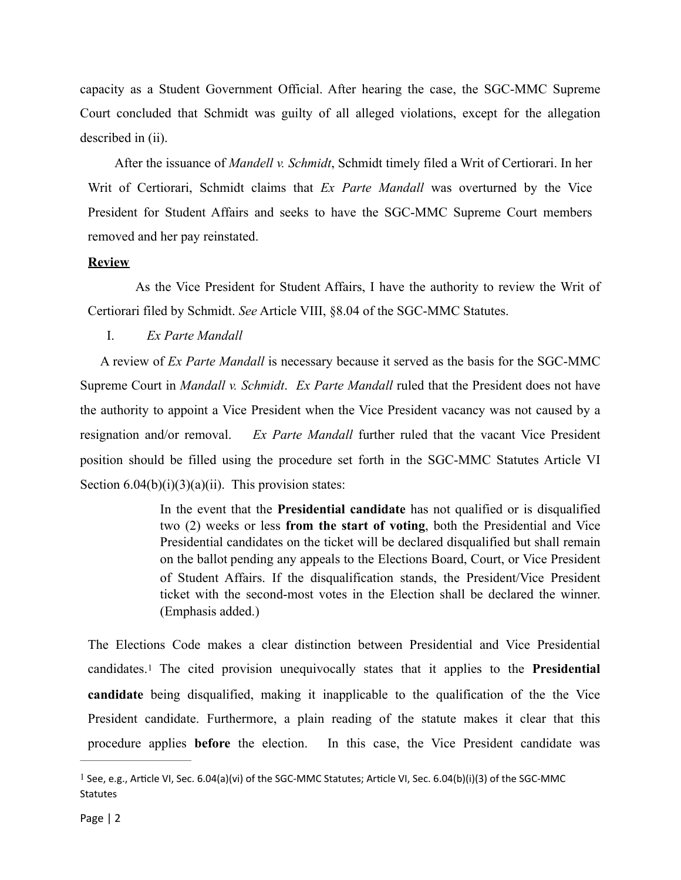capacity as a Student Government Official. After hearing the case, the SGC-MMC Supreme Court concluded that Schmidt was guilty of all alleged violations, except for the allegation described in (ii).

 After the issuance of *Mandell v. Schmidt*, Schmidt timely filed a Writ of Certiorari. In her Writ of Certiorari, Schmidt claims that *Ex Parte Mandall* was overturned by the Vice President for Student Affairs and seeks to have the SGC-MMC Supreme Court members removed and her pay reinstated.

## **Review**

 As the Vice President for Student Affairs, I have the authority to review the Writ of Certiorari filed by Schmidt. *See* Article VIII, §8.04 of the SGC-MMC Statutes.

## I. *Ex Parte Mandall*

 A review of *Ex Parte Mandall* is necessary because it served as the basis for the SGC-MMC Supreme Court in *Mandall v. Schmidt*. *Ex Parte Mandall* ruled that the President does not have the authority to appoint a Vice President when the Vice President vacancy was not caused by a resignation and/or removal. *Ex Parte Mandall* further ruled that the vacant Vice President position should be filled using the procedure set forth in the SGC-MMC Statutes Article VI Section  $6.04(b)(i)(3)(a)(ii)$ . This provision states:

> In the event that the **Presidential candidate** has not qualified or is disqualified two (2) weeks or less **from the start of voting**, both the Presidential and Vice Presidential candidates on the ticket will be declared disqualified but shall remain on the ballot pending any appeals to the Elections Board, Court, or Vice President of Student Affairs. If the disqualification stands, the President/Vice President ticket with the second-most votes in the Election shall be declared the winner. (Emphasis added.)

<span id="page-1-1"></span>The Elections Code makes a clear distinction between Presidential and Vice Presidential candidates.[1](#page-1-0) The cited provision unequivocally states that it applies to the **Presidential candidate** being disqualified, making it inapplicable to the qualification of the the Vice President candidate. Furthermore, a plain reading of the statute makes it clear that this procedure applies **before** the election. In this case, the Vice President candidate was

<span id="page-1-0"></span><sup>&</sup>lt;sup>[1](#page-1-1)</sup> See, e.g., Article VI, Sec. 6.04(a)(vi) of the SGC-MMC Statutes; Article VI, Sec. 6.04(b)(i)(3) of the SGC-MMC Statutes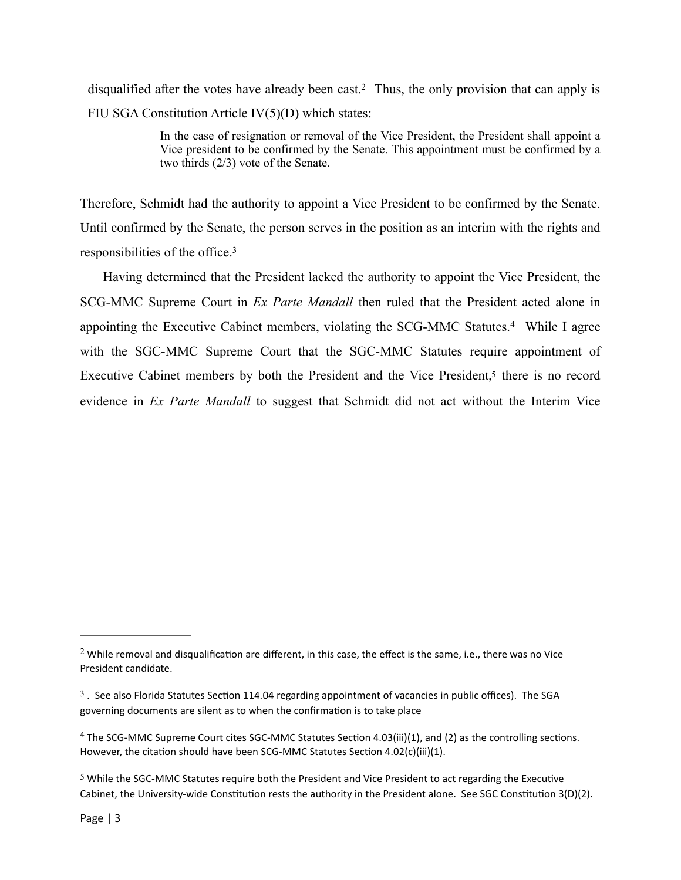disqualified after the votes have already been cast[.](#page-2-0)<sup>[2](#page-2-0)</sup> Thus, the only provision that can apply is FIU SGA Constitution Article IV(5)(D) which states:

> <span id="page-2-7"></span><span id="page-2-6"></span><span id="page-2-5"></span><span id="page-2-4"></span>In the case of resignation or removal of the Vice President, the President shall appoint a Vice president to be confirmed by the Senate. This appointment must be confirmed by a two thirds (2/3) vote of the Senate.

Therefore, Schmidt had the authority to appoint a Vice President to be confirmed by the Senate. Until confirmed by the Senate, the person serves in the position as an interim with the rights and responsibilities of the office[.3](#page-2-1)

 Having determined that the President lacked the authority to appoint the Vice President, the SCG-MMC Supreme Court in *Ex Parte Mandall* then ruled that the President acted alone in appointingthe Executive Cabinet members, violating the SCG-MMC Statutes.<sup>[4](#page-2-2)</sup> While I agree with the SGC-MMC Supreme Court that the SGC-MMC Statutes require appointment of Executive Cabinet members by both the President and the Vice President,<sup>5</sup> there is no record evidence in *Ex Parte Mandall* to suggest that Schmidt did not act without the Interim Vice

<span id="page-2-0"></span><sup>&</sup>lt;sup>[2](#page-2-4)</sup> While removal and disqualification are different, in this case, the effect is the same, i.e., there was no Vice President candidate.

<span id="page-2-1"></span> $3$ . See also Florida Statutes Section 114.04 regarding appointment of vacancies in public offices). The SGA governing documents are silent as to when the confirmation is to take place

<span id="page-2-2"></span> $4$  The SCG-MMC Supreme Court cites SGC-MMC Statutes Section 4.03(iii)(1), and (2) as the controlling sections. However, the citation should have been SCG-MMC Statutes Section 4.02(c)(iii)(1).

<span id="page-2-3"></span> $5$  While the SGC-MMC Statutes require both the President and Vice President to act regarding the Executive Cabinet, the University-wide Constitution rests the authority in the President alone. See SGC Constitution 3(D)(2).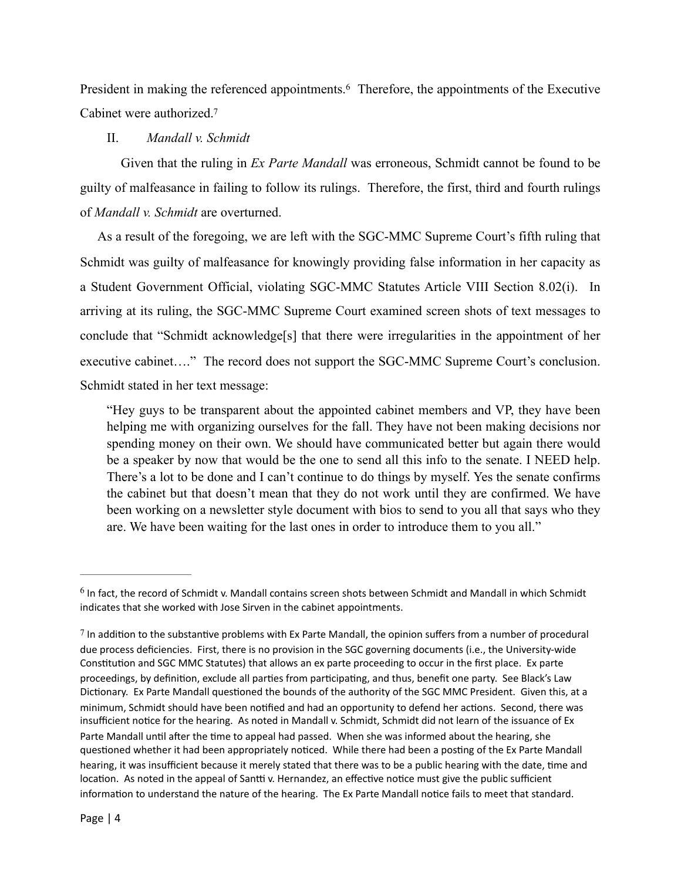President in making the referenced appointments[.](#page-3-0)<sup>[6](#page-3-0)</sup> Therefore, the appointments of the Executive Cabinet were authorized[.7](#page-3-1)

## <span id="page-3-3"></span><span id="page-3-2"></span>II. *Mandall v. Schmidt*

 Given that the ruling in *Ex Parte Mandall* was erroneous, Schmidt cannot be found to be guilty of malfeasance in failing to follow its rulings. Therefore, the first, third and fourth rulings of *Mandall v. Schmidt* are overturned.

 As a result of the foregoing, we are left with the SGC-MMC Supreme Court's fifth ruling that Schmidt was guilty of malfeasance for knowingly providing false information in her capacity as a Student Government Official, violating SGC-MMC Statutes Article VIII Section 8.02(i). In arriving at its ruling, the SGC-MMC Supreme Court examined screen shots of text messages to conclude that "Schmidt acknowledge[s] that there were irregularities in the appointment of her executive cabinet…." The record does not support the SGC-MMC Supreme Court's conclusion. Schmidt stated in her text message:

"Hey guys to be transparent about the appointed cabinet members and VP, they have been helping me with organizing ourselves for the fall. They have not been making decisions nor spending money on their own. We should have communicated better but again there would be a speaker by now that would be the one to send all this info to the senate. I NEED help. There's a lot to be done and I can't continue to do things by myself. Yes the senate confirms the cabinet but that doesn't mean that they do not work until they are confirmed. We have been working on a newsletter style document with bios to send to you all that says who they are. We have been waiting for the last ones in order to introduce them to you all."

<span id="page-3-0"></span> $6$  In fact, the record of Schmidt v. Mandall contains screen shots between Schmidt and Mandall in which Schmidt indicates that she worked with Jose Sirven in the cabinet appointments.

<span id="page-3-1"></span> $7$  In addition to the substantive problems with Ex Parte Mandall, the opinion suffers from a number of procedural due process deficiencies. First, there is no provision in the SGC governing documents (i.e., the University-wide Constitution and SGC MMC Statutes) that allows an ex parte proceeding to occur in the first place. Ex parte proceedings, by definition, exclude all parties from participating, and thus, benefit one party. See Black's Law Dictionary. Ex Parte Mandall questioned the bounds of the authority of the SGC MMC President. Given this, at a minimum, Schmidt should have been notified and had an opportunity to defend her actions. Second, there was insufficient notice for the hearing. As noted in Mandall v. Schmidt, Schmidt did not learn of the issuance of Ex Parte Mandall until after the time to appeal had passed. When she was informed about the hearing, she questioned whether it had been appropriately noticed. While there had been a posting of the Ex Parte Mandall hearing, it was insufficient because it merely stated that there was to be a public hearing with the date, time and location. As noted in the appeal of Santti v. Hernandez, an effective notice must give the public sufficient information to understand the nature of the hearing. The Ex Parte Mandall notice fails to meet that standard.